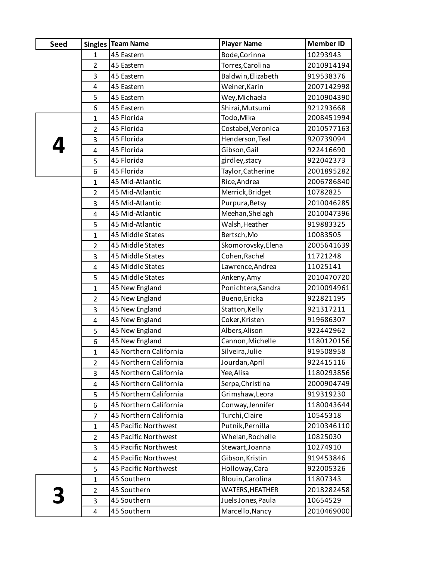| <b>Seed</b> |                | <b>Singles   Team Name</b> | <b>Player Name</b> | <b>Member ID</b> |
|-------------|----------------|----------------------------|--------------------|------------------|
|             | $\mathbf{1}$   | 45 Eastern                 | Bode, Corinna      | 10293943         |
|             | $\overline{2}$ | 45 Eastern                 | Torres, Carolina   | 2010914194       |
|             | 3              | 45 Eastern                 | Baldwin, Elizabeth | 919538376        |
|             | 4              | 45 Eastern                 | Weiner, Karin      | 2007142998       |
|             | 5              | 45 Eastern                 | Wey, Michaela      | 2010904390       |
|             | 6              | 45 Eastern                 | Shirai, Mutsumi    | 921293668        |
|             | $\mathbf{1}$   | 45 Florida                 | Todo, Mika         | 2008451994       |
|             | $\overline{2}$ | 45 Florida                 | Costabel, Veronica | 2010577163       |
|             | 3              | 45 Florida                 | Henderson, Teal    | 920739094        |
|             | 4              | 45 Florida                 | Gibson, Gail       | 922416690        |
|             | 5              | 45 Florida                 | girdley, stacy     | 922042373        |
|             | 6              | 45 Florida                 | Taylor, Catherine  | 2001895282       |
|             | $\mathbf{1}$   | 45 Mid-Atlantic            | Rice, Andrea       | 2006786840       |
|             | $\overline{2}$ | 45 Mid-Atlantic            | Merrick, Bridget   | 10782825         |
|             | 3              | 45 Mid-Atlantic            | Purpura, Betsy     | 2010046285       |
|             | 4              | 45 Mid-Atlantic            | Meehan, Shelagh    | 2010047396       |
|             | 5              | 45 Mid-Atlantic            | Walsh, Heather     | 919883325        |
|             | $\mathbf{1}$   | 45 Middle States           | Bertsch, Mo        | 10083505         |
|             | $\overline{2}$ | 45 Middle States           | Skomorovsky, Elena | 2005641639       |
|             | 3              | 45 Middle States           | Cohen, Rachel      | 11721248         |
|             | 4              | 45 Middle States           | Lawrence, Andrea   | 11025141         |
|             | 5              | 45 Middle States           | Ankeny, Amy        | 2010470720       |
|             | $\mathbf{1}$   | 45 New England             | Ponichtera, Sandra | 2010094961       |
|             | $\overline{2}$ | 45 New England             | Bueno, Ericka      | 922821195        |
|             | 3              | 45 New England             | Statton, Kelly     | 921317211        |
|             | 4              | 45 New England             | Coker, Kristen     | 919686307        |
|             | 5              | 45 New England             | Albers, Alison     | 922442962        |
|             | 6              | 45 New England             | Cannon, Michelle   | 1180120156       |
|             | $\mathbf{1}$   | 45 Northern California     | Silveira, Julie    | 919508958        |
|             | 2              | 45 Northern California     | Jourdan, April     | 922415116        |
|             | 3              | 45 Northern California     | Yee, Alisa         | 1180293856       |
|             | 4              | 45 Northern California     | Serpa, Christina   | 2000904749       |
|             | 5              | 45 Northern California     | Grimshaw, Leora    | 919319230        |
|             | 6              | 45 Northern California     | Conway, Jennifer   | 1180043644       |
|             | $\overline{7}$ | 45 Northern California     | Turchi, Claire     | 10545318         |
|             | $\mathbf{1}$   | 45 Pacific Northwest       | Putnik, Pernilla   | 2010346110       |
|             | $\overline{2}$ | 45 Pacific Northwest       | Whelan, Rochelle   | 10825030         |
|             | 3              | 45 Pacific Northwest       | Stewart, Joanna    | 10274910         |
|             | 4              | 45 Pacific Northwest       | Gibson, Kristin    | 919453846        |
|             | 5              | 45 Pacific Northwest       | Holloway, Cara     | 922005326        |
|             | $\mathbf{1}$   | 45 Southern                | Blouin, Carolina   | 11807343         |
|             | $\overline{2}$ | 45 Southern                | WATERS, HEATHER    | 2018282458       |
|             | 3              | 45 Southern                | Juels Jones, Paula | 10654529         |
|             | 4              | 45 Southern                | Marcello, Nancy    | 2010469000       |